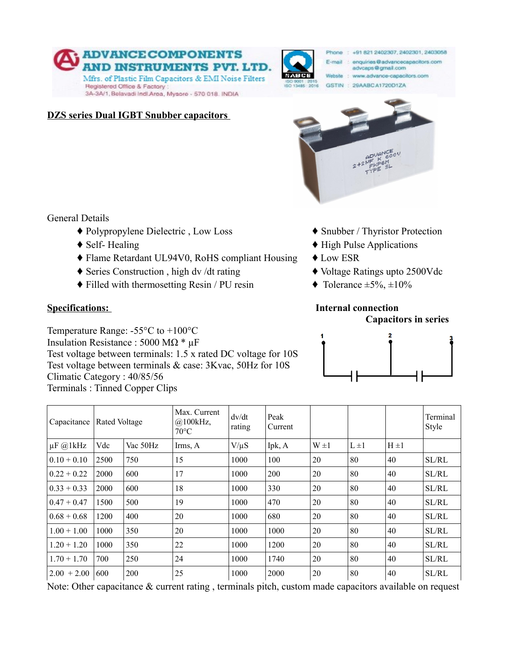



General Details

- **♦** Polypropylene Dielectric , Low Loss **♦** Snubber / Thyristor Protection
- 
- **♦** Flame Retardant UL94V0, RoHS compliant Housing **♦** Low ESR
- **♦** Series Construction , high dv /dt rating **♦** Voltage Ratings upto 2500Vdc
- $\blacklozenge$  Filled with thermosetting Resin / PU resin  $\blacklozenge$  Tolerance  $\pm$ 5%,  $\pm$ 10%

Temperature Range: -55°C to +100°C Insulation Resistance : 5000 MΩ \* µF Test voltage between terminals: 1.5 x rated DC voltage for 10S Test voltage between terminals & case: 3Kvac, 50Hz for 10S Climatic Category : 40/85/56 Terminals : Tinned Copper Clips

- 
- ◆ Self- Healing **◆ Property** Applications ◆ High Pulse Applications
	-
	-
	-

## **Specifications:** Internal connection

 **Capacitors in series**



| Capacitance   | Rated Voltage |          | Max. Current<br>@100kHz,<br>$70^{\circ}$ C | dv/dt<br>rating | Peak<br>Current |           |           |           | Terminal<br>Style |
|---------------|---------------|----------|--------------------------------------------|-----------------|-----------------|-----------|-----------|-----------|-------------------|
| $\mu$ F @1kHz | Vdc           | Vac 50Hz | Irms, A                                    | $V/\mu S$       | Ipk, A          | $W \pm 1$ | $L \pm 1$ | $H \pm 1$ |                   |
| $0.10 + 0.10$ | 2500          | 750      | 15                                         | 1000            | 100             | 20        | 80        | 40        | SL/RL             |
| $0.22 + 0.22$ | 2000          | 600      | 17                                         | 1000            | 200             | 20        | 80        | 40        | SL/RL             |
| $0.33 + 0.33$ | 2000          | 600      | 18                                         | 1000            | 330             | 20        | 80        | 40        | SL/RL             |
| $0.47 + 0.47$ | 1500          | 500      | 19                                         | 1000            | 470             | 20        | 80        | 40        | SL/RL             |
| $0.68 + 0.68$ | 1200          | 400      | 20                                         | 1000            | 680             | 20        | 80        | 40        | SL/RL             |
| $1.00 + 1.00$ | 1000          | 350      | 20                                         | 1000            | 1000            | 20        | 80        | 40        | SL/RL             |
| $1.20 + 1.20$ | 1000          | 350      | 22                                         | 1000            | 1200            | 20        | 80        | 40        | SL/RL             |
| $1.70 + 1.70$ | 700           | 250      | 24                                         | 1000            | 1740            | 20        | 80        | 40        | SL/RL             |
| $2.00 + 2.00$ | 600           | 200      | 25                                         | 1000            | 2000            | 20        | 80        | 40        | SL/RL             |

Note: Other capacitance & current rating , terminals pitch, custom made capacitors available on request



Phone: +91 821 2402307, 2402301, 2403058

E-mail : enquiries @advancecapacitors.com

advcaps@gmail.com

Website : www.advance-capacitors.com ABCH GSTIN : 29AABC A1720D1ZA